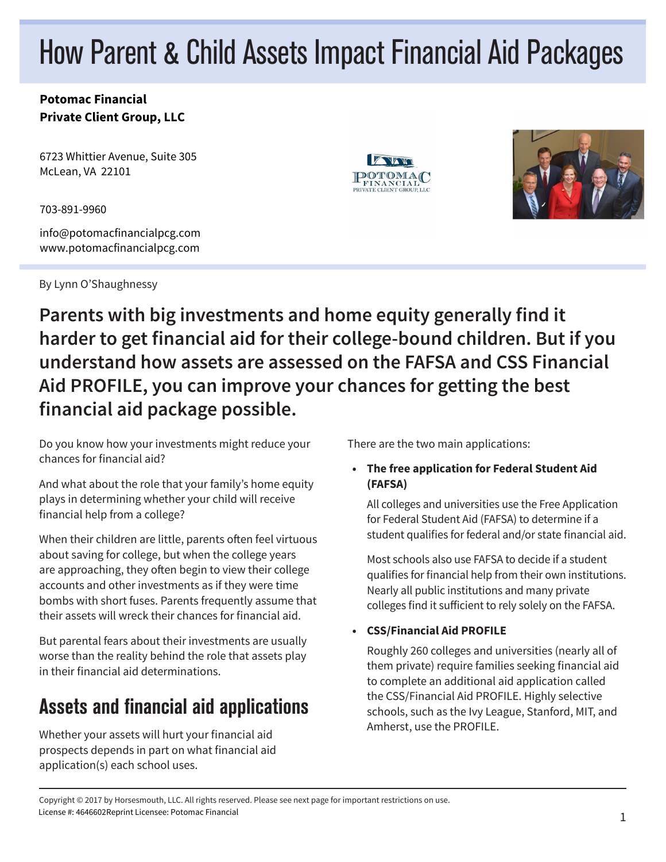# How Parent & Child Assets Impact Financial Aid Packages

#### **Potomac Financial Private Client Group, LLC**

6723 Whittier Avenue, Suite 305 McLean, VA 22101

703-891-9960

info@potomacfinancialpcg.com www.potomacfinancialpcg.com

By Lynn O'Shaughnessy





### **Parents with big investments and home equity generally find it harder to get financial aid for their college-bound children. But if you understand how assets are assessed on the FAFSA and CSS Financial Aid PROFILE, you can improve your chances for getting the best financial aid package possible.**

Do you know how your investments might reduce your chances for financial aid?

And what about the role that your family's home equity plays in determining whether your child will receive financial help from a college?

When their children are little, parents often feel virtuous about saving for college, but when the college years are approaching, they often begin to view their college accounts and other investments as if they were time bombs with short fuses. Parents frequently assume that their assets will wreck their chances for financial aid.

But parental fears about their investments are usually worse than the reality behind the role that assets play in their financial aid determinations.

# Assets and financial aid applications

Whether your assets will hurt your financial aid prospects depends in part on what financial aid application(s) each school uses.

There are the two main applications:

#### **• The free application for Federal Student Aid (FAFSA)**

All colleges and universities use the Free Application for Federal Student Aid (FAFSA) to determine if a student qualifies for federal and/or state financial aid.

Most schools also use FAFSA to decide if a student qualifies for financial help from their own institutions. Nearly all public institutions and many private colleges find it sufficient to rely solely on the FAFSA.

#### **• CSS/Financial Aid PROFILE**

Roughly 260 colleges and universities (nearly all of them private) require families seeking financial aid to complete an additional aid application called the CSS/Financial Aid PROFILE. Highly selective schools, such as the Ivy League, Stanford, MIT, and Amherst, use the PROFILE.

Copyright © 2017 by Horsesmouth, LLC. All rights reserved. Please see next page for important restrictions on use. License #: 4646602Reprint Licensee: Potomac Financial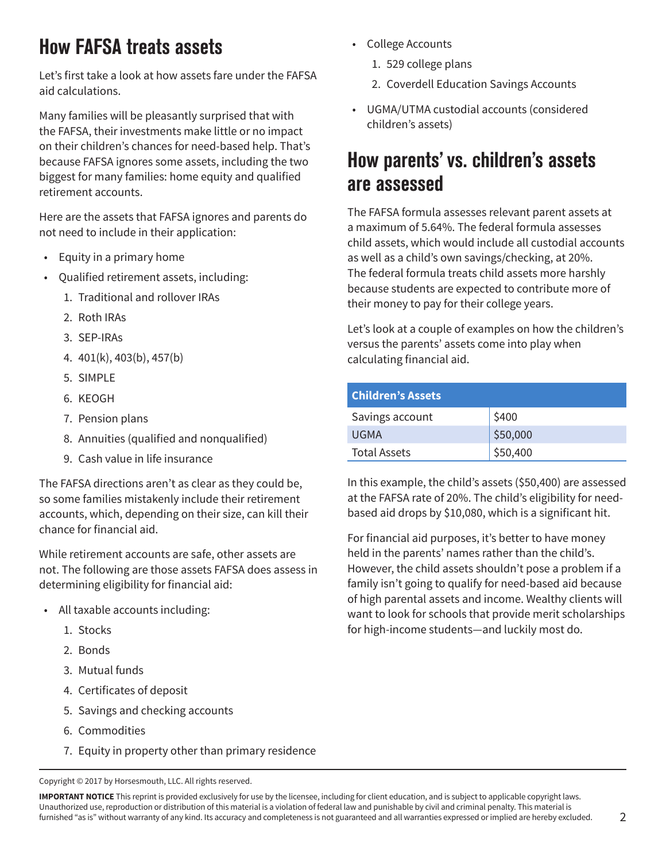# How FAFSA treats assets

Let's first take a look at how assets fare under the FAFSA aid calculations.

Many families will be pleasantly surprised that with the FAFSA, their investments make little or no impact on their children's chances for need-based help. That's because FAFSA ignores some assets, including the two biggest for many families: home equity and qualified retirement accounts.

Here are the assets that FAFSA ignores and parents do not need to include in their application:

- Equity in a primary home
- Qualified retirement assets, including:
	- 1. Traditional and rollover IRAs
	- 2. Roth IRAs
	- 3. SEP-IRAs
	- 4. 401(k), 403(b), 457(b)
	- 5. SIMPLE
	- 6. KEOGH
	- 7. Pension plans
	- 8. Annuities (qualified and nonqualified)
	- 9. Cash value in life insurance

The FAFSA directions aren't as clear as they could be, so some families mistakenly include their retirement accounts, which, depending on their size, can kill their chance for financial aid.

While retirement accounts are safe, other assets are not. The following are those assets FAFSA does assess in determining eligibility for financial aid:

- All taxable accounts including:
	- 1. Stocks
	- 2. Bonds
	- 3. Mutual funds
	- 4. Certificates of deposit
	- 5. Savings and checking accounts
	- 6. Commodities
	- 7. Equity in property other than primary residence

Copyright © 2017 by Horsesmouth, LLC. All rights reserved.

- College Accounts
	- 1. 529 college plans
	- 2. Coverdell Education Savings Accounts
- UGMA/UTMA custodial accounts (considered children's assets)

## How parents' vs. children's assets are assessed

The FAFSA formula assesses relevant parent assets at a maximum of 5.64%. The federal formula assesses child assets, which would include all custodial accounts as well as a child's own savings/checking, at 20%. The federal formula treats child assets more harshly because students are expected to contribute more of their money to pay for their college years.

Let's look at a couple of examples on how the children's versus the parents' assets come into play when calculating financial aid.

| <b>Children's Assets</b> |          |
|--------------------------|----------|
| Savings account          | \$400    |
| <b>UGMA</b>              | \$50,000 |
| <b>Total Assets</b>      | \$50,400 |

In this example, the child's assets (\$50,400) are assessed at the FAFSA rate of 20%. The child's eligibility for needbased aid drops by \$10,080, which is a significant hit.

For financial aid purposes, it's better to have money held in the parents' names rather than the child's. However, the child assets shouldn't pose a problem if a family isn't going to qualify for need-based aid because of high parental assets and income. Wealthy clients will want to look for schools that provide merit scholarships for high-income students—and luckily most do.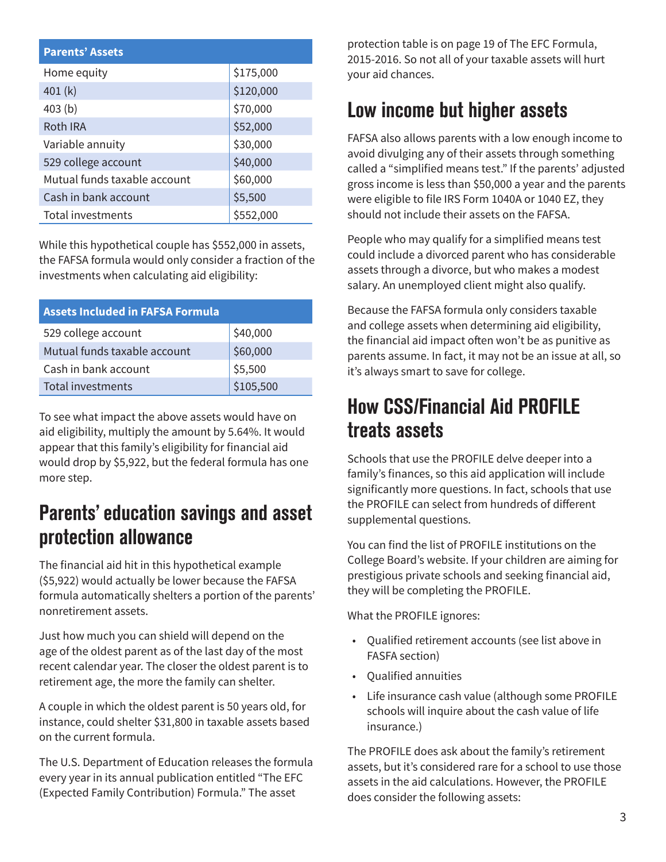| <b>Parents' Assets</b>       |           |  |
|------------------------------|-----------|--|
| Home equity                  | \$175,000 |  |
| 401 (k)                      | \$120,000 |  |
| 403 <sub>(b)</sub>           | \$70,000  |  |
| <b>Roth IRA</b>              | \$52,000  |  |
| Variable annuity             | \$30,000  |  |
| 529 college account          | \$40,000  |  |
| Mutual funds taxable account | \$60,000  |  |
| Cash in bank account         | \$5,500   |  |
| Total investments            | \$552,000 |  |

While this hypothetical couple has \$552,000 in assets, the FAFSA formula would only consider a fraction of the investments when calculating aid eligibility:

| <b>Assets Included in FAFSA Formula</b> |           |  |
|-----------------------------------------|-----------|--|
| 529 college account                     | \$40,000  |  |
| Mutual funds taxable account            | \$60,000  |  |
| Cash in bank account                    | \$5,500   |  |
| Total investments                       | \$105,500 |  |

To see what impact the above assets would have on aid eligibility, multiply the amount by 5.64%. It would appear that this family's eligibility for financial aid would drop by \$5,922, but the federal formula has one more step.

# Parents' education savings and asset protection allowance

The financial aid hit in this hypothetical example (\$5,922) would actually be lower because the FAFSA formula automatically shelters a portion of the parents' nonretirement assets.

Just how much you can shield will depend on the age of the oldest parent as of the last day of the most recent calendar year. The closer the oldest parent is to retirement age, the more the family can shelter.

A couple in which the oldest parent is 50 years old, for instance, could shelter \$31,800 in taxable assets based on the current formula.

The U.S. Department of Education releases the formula every year in its annual publication entitled "The EFC (Expected Family Contribution) Formula." The asset

protection table is on page 19 of The EFC Formula, 2015-2016. So not all of your taxable assets will hurt your aid chances.

# Low income but higher assets

FAFSA also allows parents with a low enough income to avoid divulging any of their assets through something called a "simplified means test." If the parents' adjusted gross income is less than \$50,000 a year and the parents were eligible to file IRS Form 1040A or 1040 EZ, they should not include their assets on the FAFSA.

People who may qualify for a simplified means test could include a divorced parent who has considerable assets through a divorce, but who makes a modest salary. An unemployed client might also qualify.

Because the FAFSA formula only considers taxable and college assets when determining aid eligibility, the financial aid impact often won't be as punitive as parents assume. In fact, it may not be an issue at all, so it's always smart to save for college.

## How CSS/Financial Aid PROFILE treats assets

Schools that use the PROFILE delve deeper into a family's finances, so this aid application will include significantly more questions. In fact, schools that use the PROFILE can select from hundreds of different supplemental questions.

You can find the list of PROFILE institutions on the College Board's website. If your children are aiming for prestigious private schools and seeking financial aid, they will be completing the PROFILE.

What the PROFILE ignores:

- Qualified retirement accounts (see list above in FASFA section)
- Qualified annuities
- Life insurance cash value (although some PROFILE schools will inquire about the cash value of life insurance.)

The PROFILE does ask about the family's retirement assets, but it's considered rare for a school to use those assets in the aid calculations. However, the PROFILE does consider the following assets: